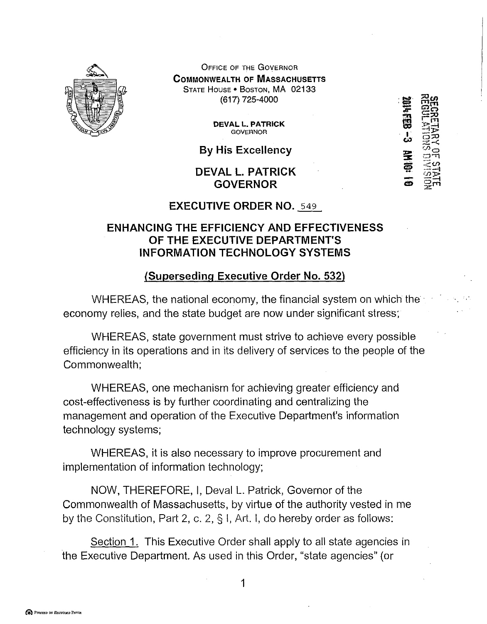

OFFICE OF THE GOVERNOR **COMMONWEALTH OF MASSACHUSETTS** STATE HOUSE• BOSTON, MA 02133 (617) 725-4000

> **DEVALL. PATRICK GOVERNOR**

**By His Excellency** 

**DEVALL. PATRICK GOVERNOR** 

~·· **e**   $\left| \cdot \right|$  $\frac{1}{2}$ . **ii** I **CA)**   $\tilde{z}$  $\boldsymbol{\overline{Q}}$ -**Cl!)**   $\mathbb{Z}$ ഗ  $\Xi\Xi$  $E \Omega$  $\Xi \infty$  $\frac{1}{2}$  $\frac{1}{2}$  $\Xi\tilde{\Xi}$  $\mathbb{R}^2$  $\tilde{\varpi}$ o  $\equiv$   $\overline{\eta}$  $\mathbb{Z}$  $\omega$  $\Xi_1^{\omega}$  $\approx$ 

 $\sim$ 

### **EXECUTIVE ORDER NO.** 549

# **ENHANCING THE EFFICIENCY AND EFFECTIVENESS OF THE EXECUTIVE DEPARTMENT'S INFORMATION TECHNOLOGY SYSTEMS**

# **(Superseding Executive Order No. 532)**

WHEREAS, the national economy, the financial system on which the economy relies, and the state budget are now under significant stress;

WHEREAS, state government must strive to achieve every possible efficiency in its operations and in its delivery of services to the people of the Commonwealth;

WHEREAS, one mechanism for achieving greater efficiency and cost-effectiveness is by further coordinating and centralizing the management and operation of the Executive Department's information technology systems;

WHEREAS, it is also necessary to improve procurement and implementation of information technology;

NOW, THEREFORE, I, Deval L. Patrick, Governor of the Commonwealth of Massachusetts, by virtue of the authority vested in me by the Constitution, Part 2, c. 2, § I, Art. I, do hereby order as follows:

Section 1. This Executive Order shall apply to all state agencies in the Executive Department. As used in this Order, "state agencies" (or

1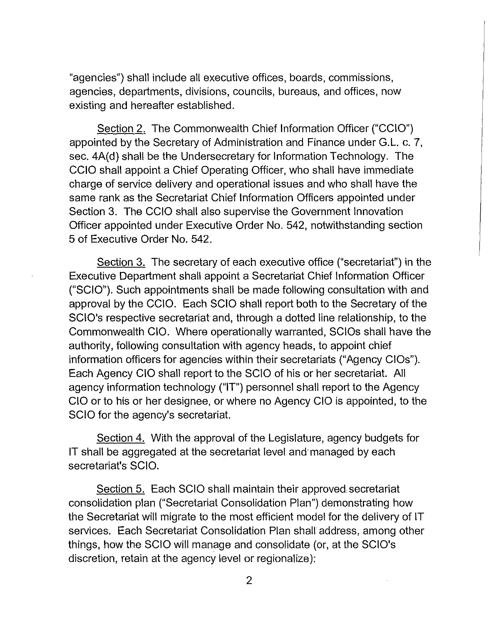"agencies") shall include all executive offices, boards, commissions, agencies, departments, divisions, councils, bureaus, and offices, now existing and hereafter established.

Section 2. The Commonwealth Chief Information Officer ("CCIO") appointed by the Secretary of Administration and Finance under G.L. c. 7, sec. 4A(d) shall be the Undersecretary for Information Technology. The CCIO shall appoint a Chief Operating Officer, who shall have immediate charge of service delivery and operational issues and who shall have the same rank as the Secretariat Chief Information Officers appointed under Section 3. The CCIO shall also supervise the Government Innovation Officer appointed under Executive Order No. 542, notwithstanding section 5 of Executive Order No. 542.

Section 3. The secretary of each executive office ("secretariat") in the Executive Department shall appoint a Secretariat Chief Information Officer ("SCIO"). Such appointments shall be made following consultation with and approval by the CCIO. Each SCIO shall report both to the Secretary of the SCIO's respective secretariat and, through a dotted line relationship, to the Commonwealth CIO. Where operationally warranted, SCIOs shall have the authority, following consultation with agency heads, to appoint chief information officers for agencies within their secretariats ("Agency CIOs"). Each Agency CIO shall report to the SCIO of his or her secretariat. All agency information technology ("IT") personnel shall report to the Agency CIO or to his or her designee, or where no Agency CIO is appointed, to the SCIO for the agency's secretariat.

Section 4. With the approval of the Legislature, agency budgets for IT shall be aggregated at the secretariat level and· managed by each secretariat's SCIO.

Section 5. Each SCIO shall maintain their approved secretariat consolidation plan ("Secretariat Consolidation Plan") demonstrating how the Secretariat will migrate to the most efficient model for the delivery of IT services. Each Secretariat Consolidation Plan shall address, among other things, how the SCIO will manage and consolidate (or, at the SCIO's discretion, retain at the agency level or regionalize):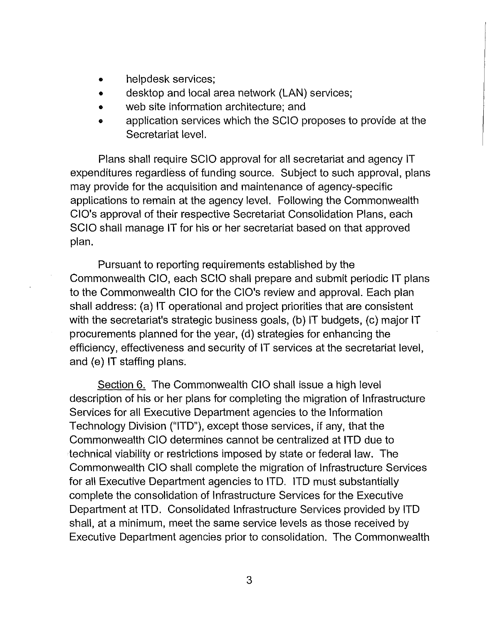- helpdesk services;
- desktop and local area network (LAN) services;
- web site information architecture; and
- application services which the SCIO proposes to provide at the Secretariat level.

Plans shall require SCIO approval for all secretariat and agency IT expenditures regardless of funding source. Subject to such approval, plans may provide for the acquisition and maintenance of agency-specific applications to remain at the agency level. Following the Commonwealth CIO's approval of their respective Secretariat Consolidation Plans, each SCIO shall manage IT for his or her secretariat based on that approved plan.

Pursuant to reporting requirements established by the Commonwealth CIO, each SCIO shall prepare and submit periodic IT plans to the Commonwealth CIO for the CIO's review and approval. Each plan shall address: (a) IT operational and project priorities that are consistent with the secretariat's strategic business goals, (b) IT budgets, (c) major IT procurements planned for the year, (d) strategies for enhancing the efficiency, effectiveness and security of IT services at the secretariat level, and (e) IT staffing plans.

Section 6. The Commonwealth CIO shall issue a high level description of his or her plans for completing the migration of Infrastructure Services for all Executive Department agencies to the Information Technology Division ("ITD"), except those services, if any, that the Commonwealth CIO determines cannot be centralized at ITD due to technical viability or restrictions imposed by state or federal law. The Commonwealth CIO shall complete the migration of Infrastructure Services for all Executive Department agencies to ITD. ITD must substantially complete the consolidation of Infrastructure Services for the Executive Department at ITD. Consolidated Infrastructure Services provided by ITD shall, at a minimum, meet the same service levels as those received by Executive Department agencies prior to consolidation. The Commonwealth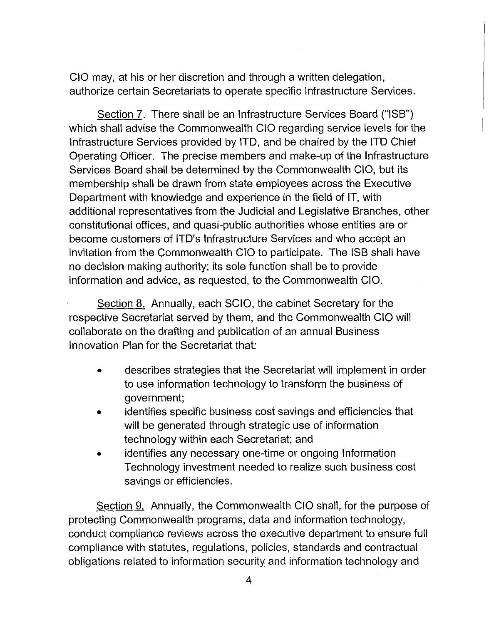CIO may, at his or her discretion and through a written delegation, authorize certain Secretariats to operate specific Infrastructure Services.

Section 7. There shall be an Infrastructure Services Board ("ISB") which shall advise the Commonwealth CIO regarding service levels for the Infrastructure Services provided by ITD, and be chaired by the ITD Chief Operating Officer. The precise members and make-up of the Infrastructure Services Board shall be determined by the Commonwealth CIO, but its membership shall be drawn from state employees across the Executive Department with knowledge and experience in the field of IT, with additional representatives from the Judicial and Legislative Branches, other constitutional offices, and quasi-public authorities whose entities are or become customers of ITD's Infrastructure Services and who accept an invitation from the Commonwealth CIO to participate. The ISB shall have no decision making authority; its sole function shall be to provide information and advice, as requested, to the Commonwealth CIO.

Section 8. Annually, each SCIO, the cabinet Secretary for the respective Secretariat served by them, and the Commonwealth CIO will collaborate on the drafting and publication of an annual Business Innovation Plan for the Secretariat that:

- describes strategies that the Secretariat will implement in order to use information technology to transform the business of government;
- identifies specific business cost savings and efficiencies that will be generated through strategic use of information technology within each Secretariat; and
- identifies any necessary one-time or ongoing Information Technology investment needed to realize such business cost savings or efficiencies.

Section 9. Annually, the Commonwealth CIO shall, for the purpose of protecting Commonwealth programs, data and information technology, conduct compliance reviews across the executive department to ensure full compliance with statutes, regulations, policies, standards and contractual obligations related to information security and information technology and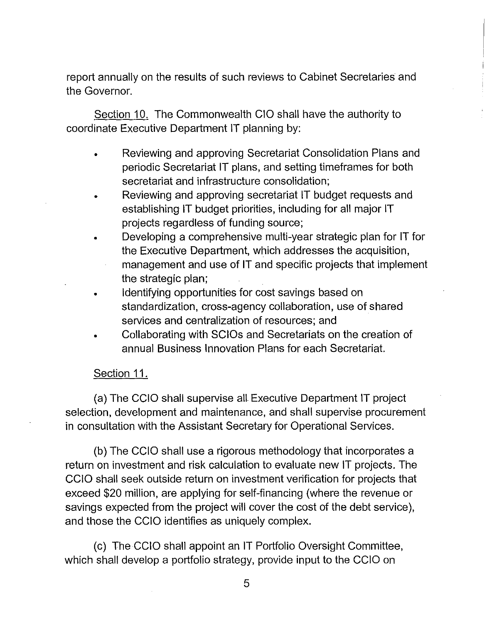report annually on the results of such reviews to Cabinet Secretaries and the Governor.

Section 10. The Commonwealth CIO shall have the authority to coordinate Executive Department IT planning by:

- Reviewing and approving Secretariat Consolidation Plans and periodic Secretariat IT plans, and setting timeframes for both secretariat and infrastructure consolidation;
- Reviewing and approving secretariat IT budget requests and establishing IT budget priorities, including for all major IT projects regardless of funding source;
- Developing a comprehensive multi-year strategic plan for IT for the Executive Department, which addresses the acquisition, management and use of IT and specific projects that implement
	- the strategic plan;
- Identifying opportunities for cost savings based on standardization, cross-agency collaboration, use of shared services and centralization of resources; and
- Collaborating with SCIOs and Secretariats on the creation of annual Business Innovation Plans for each Secretariat.

# Section 11.

(a) The CCIO shall supervise all Executive Department IT project selection, development and maintenance, and shall supervise procurement in consultation with the Assistant Secretary for Operational Services.

(b) The CCIO shall use a rigorous methodology that incorporates a return on investment and risk calculation to evaluate new IT projects. The CCIO shall seek outside return on investment verification for projects that exceed \$20 million, are applying for self-financing (where the revenue or savings expected from the project will cover the cost of the debt service), and those the CCIO identifies as uniquely complex.

(c) The CCIO shall appoint an IT Portfolio Oversight Committee, which shall develop a portfolio strategy, provide input to the CCIO on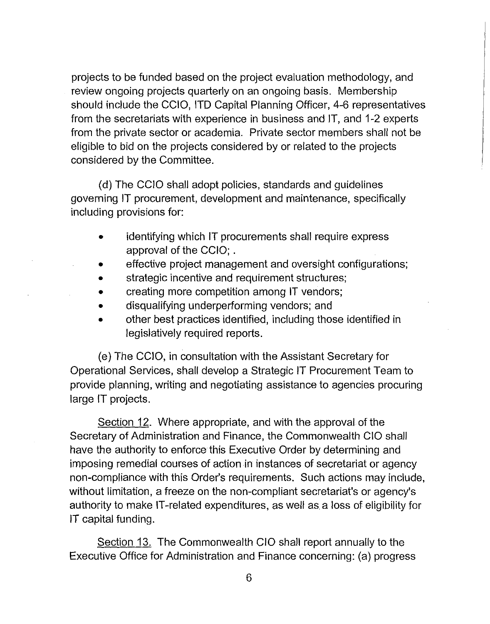projects to be funded based on the project evaluation methodology, and review ongoing projects quarterly on an ongoing basis. Membership should include the CCIO, ITD Capital Planning Officer, 4-6 representatives from the secretariats with experience in business and IT, and 1-2 experts from the private sector or academia. Private sector members shall not be eligible to bid on the projects considered by or related to the projects considered by the Committee.

(d) The CCIO shall adopt policies, standards and guidelines governing IT procurement, development and maintenance, specifically including provisions for:

- identifying which IT procurements shall require express approval of the CCIO; .
- effective project management and oversight configurations;
- strategic incentive and requirement structures;
- creating more competition among IT vendors;
- disqualifying underperforming vendors; and
- other best practices identified, including those identified in legislatively required reports.

(e) The CCIO, in consultation with the Assistant Secretary for Operational Services, shall develop a Strategic IT Procurement Team to provide planning, writing and negotiating assistance to agencies procuring large IT projects.

Section 12. Where appropriate, and with the approval of the Secretary of Administration and Finance, the Commonwealth CIO shall have the authority to enforce this Executive Order by determining and imposing remedial courses of action in instances of secretariat or agency non-compliance with this Order's requirements. Such actions may include, without limitation, a freeze on the non-compliant secretariat's or agency's authority to make IT-related expenditures, as well as a loss of eligibility for IT capital funding.

Section 13. The Commonwealth CIO shall report annually to the Executive Office for Administration and Finance concerning: (a) progress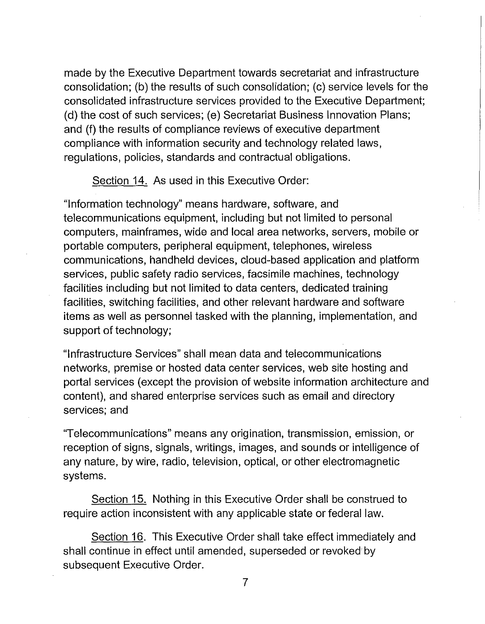made by the Executive Department towards secretariat and infrastructure consolidation; (b) the results of such consolidation; (c) service levels for the consolidated infrastructure services provided to the Executive Department; (d) the cost of such services; (e) Secretariat Business Innovation Plans; and (f) the results of compliance reviews of executive department compliance with information security and technology related laws, regulations, policies, standards and contractual obligations.

### Section 14. As used in this Executive Order:

"Information technology" means hardware, software, and telecommunications equipment, including but not limited to personal computers, mainframes, wide and local area networks, servers, mobile or portable computers, peripheral equipment, telephones, wireless communications, handheld devices, cloud-based application and platform services, public safety radio services, facsimile machines, technology facilities including but not limited to data centers, dedicated training facilities, switching facilities, and other relevant hardware and software items as well as personnel tasked with the planning, implementation, and support of technology;

"Infrastructure Services" shall mean data and telecommunications networks, premise or hosted data center services, web site hosting and portal services (except the provision of website information architecture and content), and shared enterprise services such as email and directory services; and

"Telecommunications" means any origination, transmission, emission, or reception of signs, signals, writings, images, and sounds or intelligence of any nature, by wire, radio, television, optical, or other electromagnetic systems.

Section 15. Nothing in this Executive Order shall be construed to require action inconsistent with any applicable state or federal law.

Section 16. This Executive Order shall take effect immediately and shall continue in effect until amended, superseded or revoked by subsequent Executive Order.

7